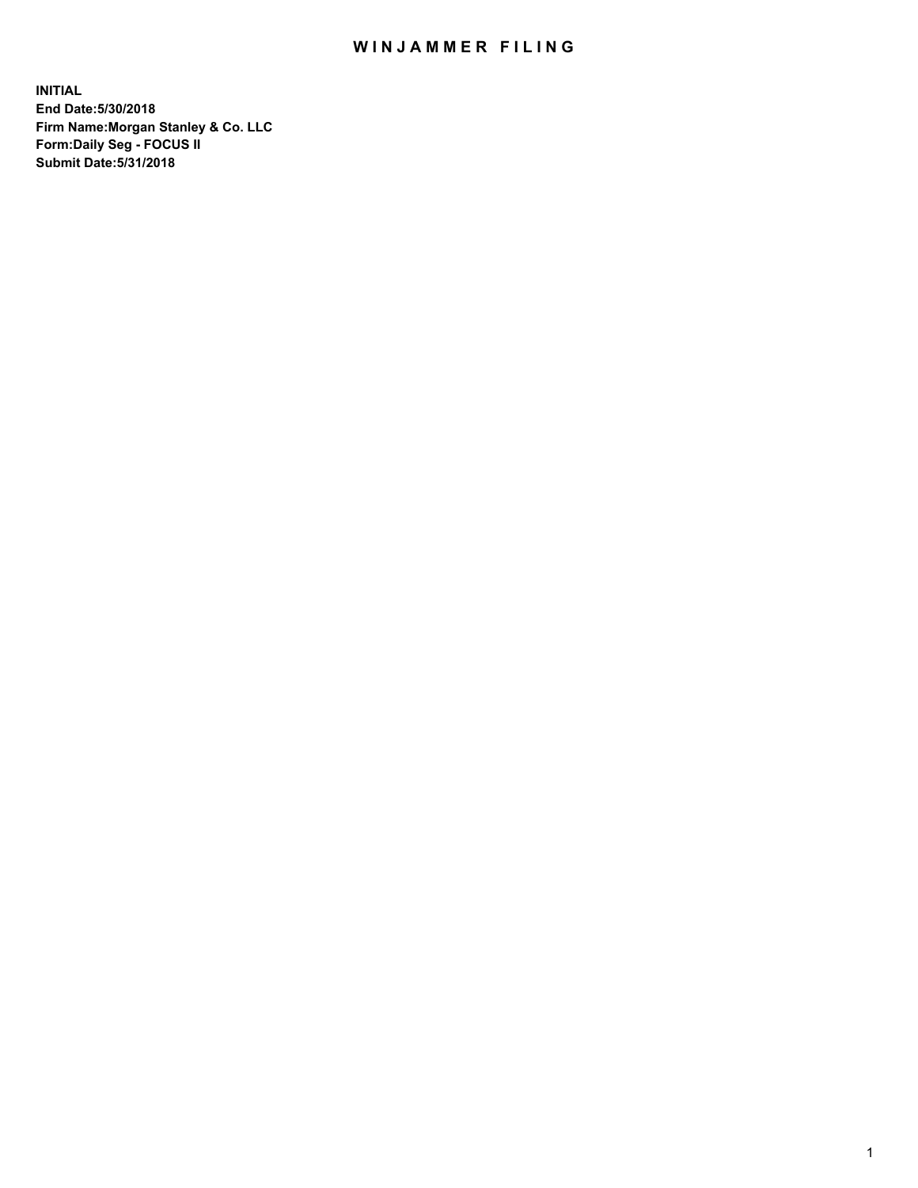## WIN JAMMER FILING

**INITIAL End Date:5/30/2018 Firm Name:Morgan Stanley & Co. LLC Form:Daily Seg - FOCUS II Submit Date:5/31/2018**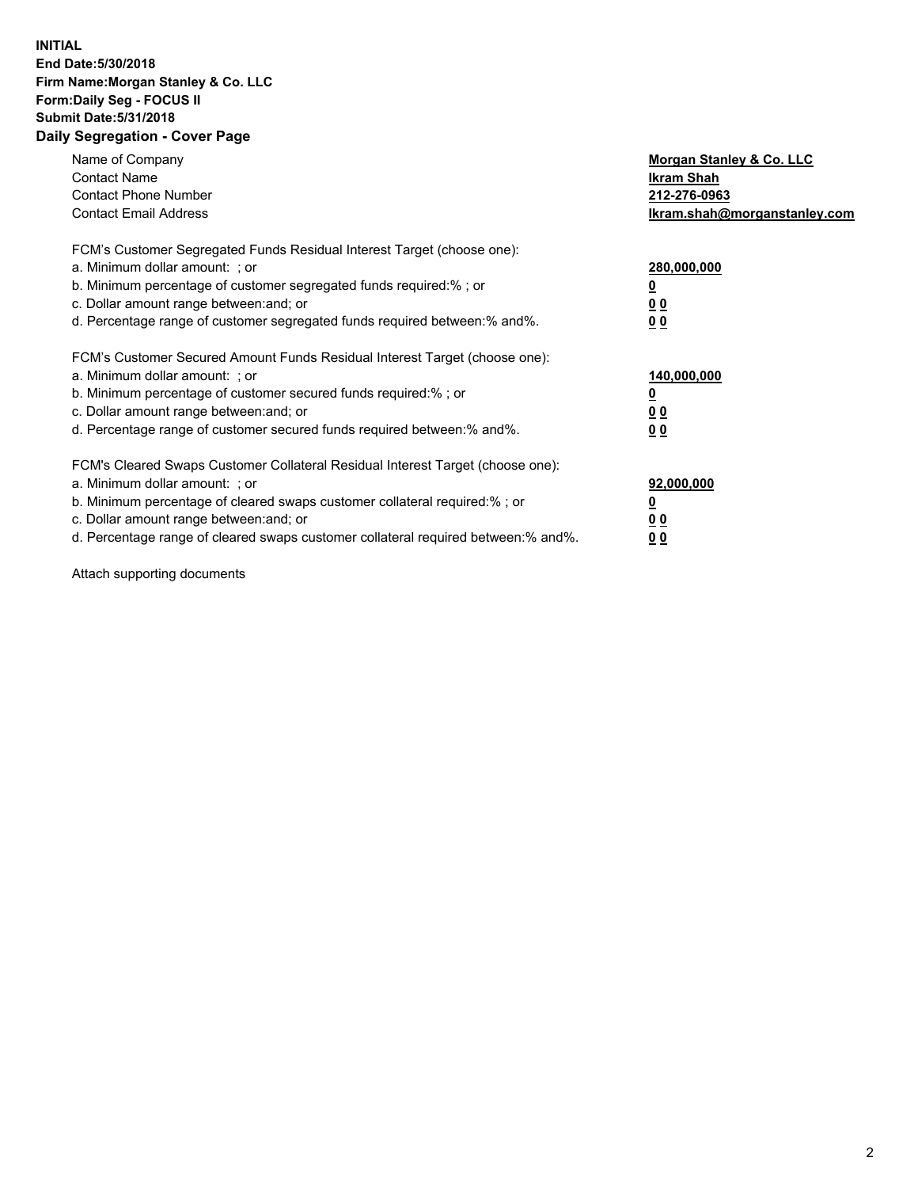## **INITIAL End Date:5/30/2018 Firm Name:Morgan Stanley & Co. LLC Form:Daily Seg - FOCUS II Submit Date:5/31/2018 Daily Segregation - Cover Page**

| Name of Company<br><b>Contact Name</b><br><b>Contact Phone Number</b><br><b>Contact Email Address</b>                                                                                                                                                                                                                         | Morgan Stanley & Co. LLC<br>Ikram Shah<br>212-276-0963<br>lkram.shah@morganstanley.com |
|-------------------------------------------------------------------------------------------------------------------------------------------------------------------------------------------------------------------------------------------------------------------------------------------------------------------------------|----------------------------------------------------------------------------------------|
| FCM's Customer Segregated Funds Residual Interest Target (choose one):<br>a. Minimum dollar amount: ; or<br>b. Minimum percentage of customer segregated funds required:%; or<br>c. Dollar amount range between: and; or<br>d. Percentage range of customer segregated funds required between:% and%.                         | 280,000,000<br>00<br>00                                                                |
| FCM's Customer Secured Amount Funds Residual Interest Target (choose one):<br>a. Minimum dollar amount: ; or<br>b. Minimum percentage of customer secured funds required:%; or<br>c. Dollar amount range between: and; or<br>d. Percentage range of customer secured funds required between:% and%.                           | 140,000,000<br>0 <sub>0</sub><br>0 <sub>0</sub>                                        |
| FCM's Cleared Swaps Customer Collateral Residual Interest Target (choose one):<br>a. Minimum dollar amount: ; or<br>b. Minimum percentage of cleared swaps customer collateral required:%; or<br>c. Dollar amount range between: and; or<br>d. Percentage range of cleared swaps customer collateral required between:% and%. | 92,000,000<br>0 <sub>0</sub><br><u>00</u>                                              |

Attach supporting documents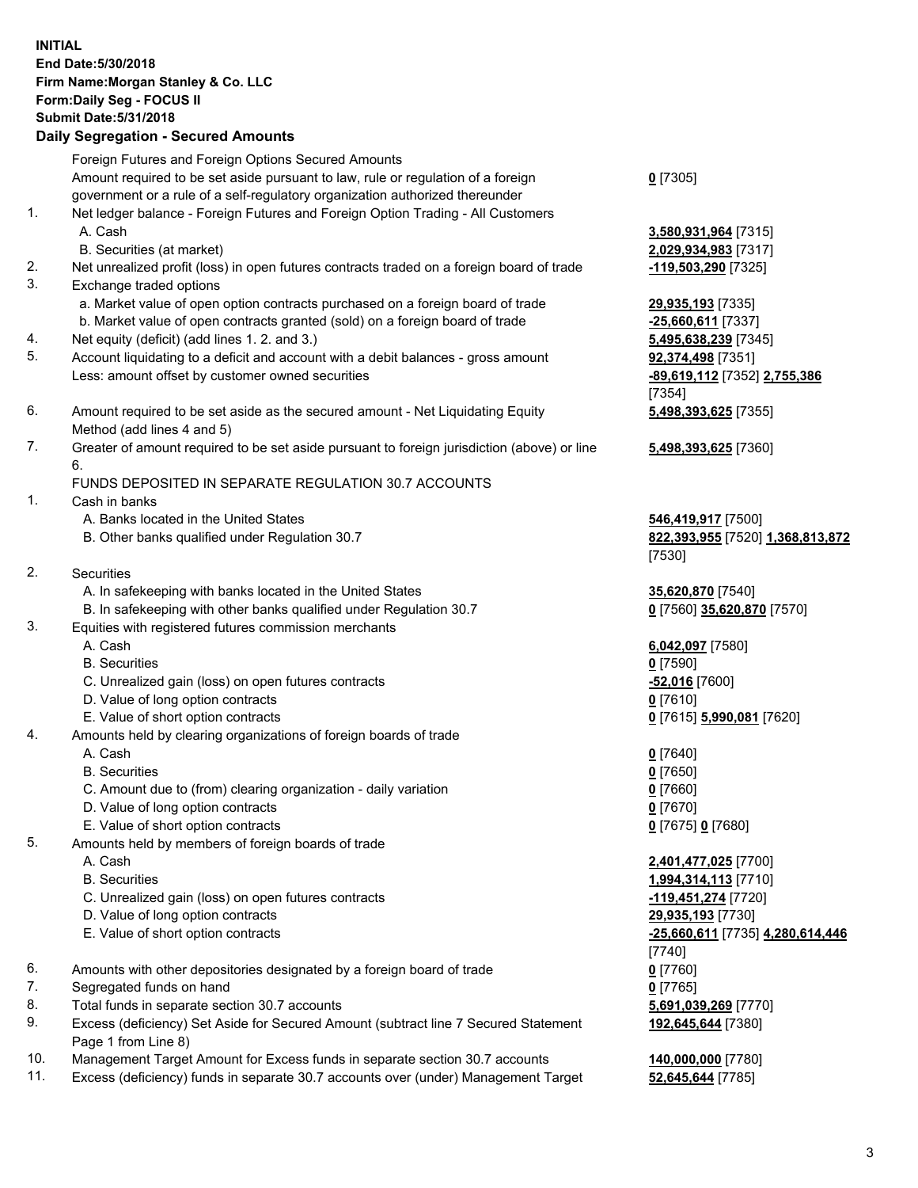## **INITIAL End Date:5/30/2018 Firm Name:Morgan Stanley & Co. LLC Form:Daily Seg - FOCUS II Submit Date:5/31/2018 Daily Segregation - Secured Amounts**

Foreign Futures and Foreign Options Secured Amounts Amount required to be set aside pursuant to law, rule or regulation of a foreign government or a rule of a self-regulatory organization authorized thereunder

- 1. Net ledger balance Foreign Futures and Foreign Option Trading All Customers A. Cash **3,580,931,964** [7315]
	- B. Securities (at market) **2,029,934,983** [7317]
- 2. Net unrealized profit (loss) in open futures contracts traded on a foreign board of trade **-119,503,290** [7325]
- 3. Exchange traded options
	- a. Market value of open option contracts purchased on a foreign board of trade **29,935,193** [7335]
	- b. Market value of open contracts granted (sold) on a foreign board of trade **-25,660,611** [7337]
- 4. Net equity (deficit) (add lines 1. 2. and 3.) **5,495,638,239** [7345]
- 5. Account liquidating to a deficit and account with a debit balances gross amount **92,374,498** [7351] Less: amount offset by customer owned securities **-89,619,112** [7352] **2,755,386**
- 6. Amount required to be set aside as the secured amount Net Liquidating Equity Method (add lines 4 and 5)
- 7. Greater of amount required to be set aside pursuant to foreign jurisdiction (above) or line 6.

## FUNDS DEPOSITED IN SEPARATE REGULATION 30.7 ACCOUNTS

- 1. Cash in banks
	- A. Banks located in the United States **546,419,917** [7500]
	- B. Other banks qualified under Regulation 30.7 **822,393,955** [7520] **1,368,813,872**
- 2. Securities
	- A. In safekeeping with banks located in the United States **35,620,870** [7540]
	- B. In safekeeping with other banks qualified under Regulation 30.7 **0** [7560] **35,620,870** [7570]
- 3. Equities with registered futures commission merchants
	-
	-
	- C. Unrealized gain (loss) on open futures contracts **-52,016** [7600]
	- D. Value of long option contracts **0** [7610]
- E. Value of short option contracts **0** [7615] **5,990,081** [7620]
- 4. Amounts held by clearing organizations of foreign boards of trade
	-
	-
	- C. Amount due to (from) clearing organization daily variation **0** [7660]
	- D. Value of long option contracts **0** [7670]
	- E. Value of short option contracts **0** [7675] **0** [7680]
- 5. Amounts held by members of foreign boards of trade
	-
	-
	- C. Unrealized gain (loss) on open futures contracts **-119,451,274** [7720]
	- D. Value of long option contracts **29,935,193** [7730]
	- E. Value of short option contracts **-25,660,611** [7735] **4,280,614,446**
- 6. Amounts with other depositories designated by a foreign board of trade **0** [7760]
- 7. Segregated funds on hand **0** [7765]
- 8. Total funds in separate section 30.7 accounts **5,691,039,269** [7770]
- 9. Excess (deficiency) Set Aside for Secured Amount (subtract line 7 Secured Statement Page 1 from Line 8)
- 10. Management Target Amount for Excess funds in separate section 30.7 accounts **140,000,000** [7780]
- 11. Excess (deficiency) funds in separate 30.7 accounts over (under) Management Target **52,645,644** [7785]

**0** [7305]

[7354] **5,498,393,625** [7355]

**5,498,393,625** [7360]

[7530]

 A. Cash **6,042,097** [7580] B. Securities **0** [7590]

 A. Cash **0** [7640] B. Securities **0** [7650]

 A. Cash **2,401,477,025** [7700] B. Securities **1,994,314,113** [7710] [7740] **192,645,644** [7380]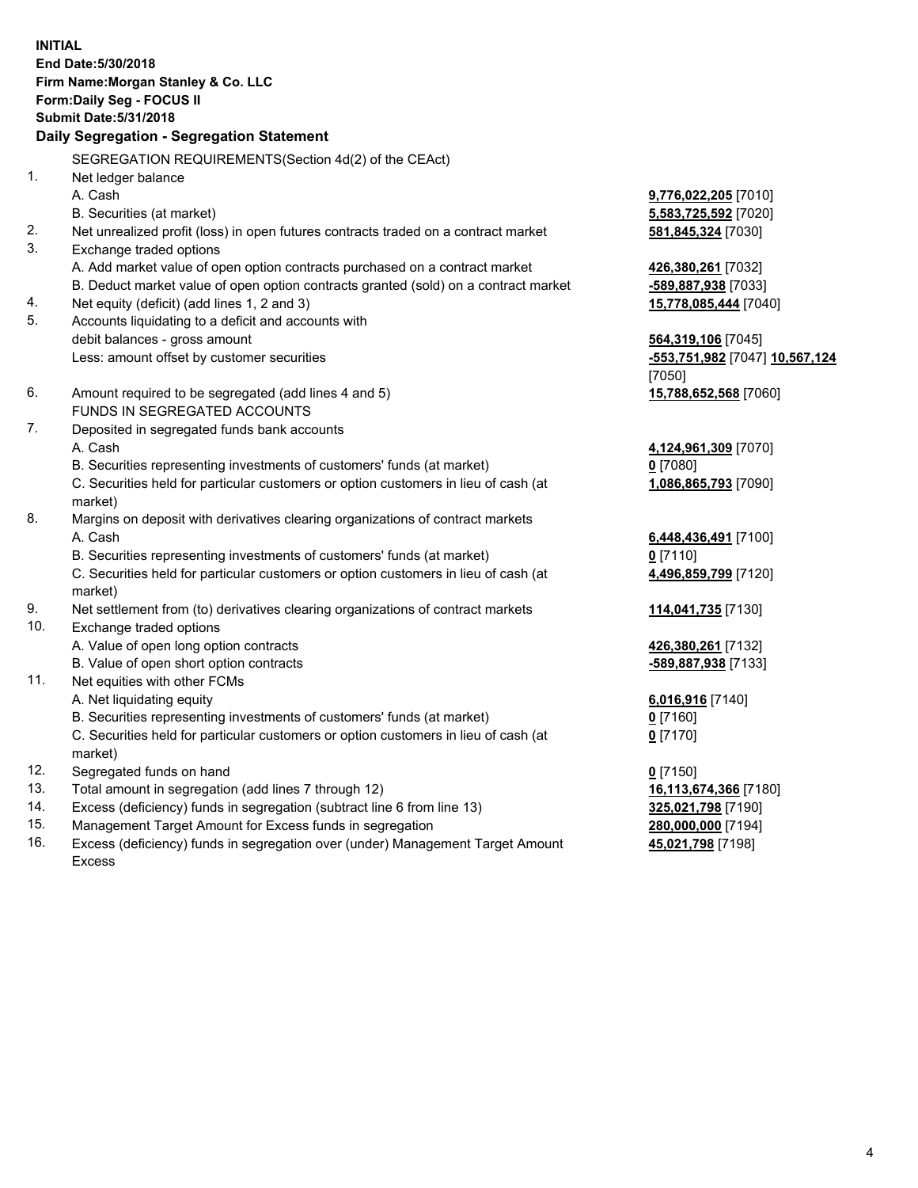**INITIAL End Date:5/30/2018 Firm Name:Morgan Stanley & Co. LLC Form:Daily Seg - FOCUS II Submit Date:5/31/2018 Daily Segregation - Segregation Statement** SEGREGATION REQUIREMENTS(Section 4d(2) of the CEAct) 1. Net ledger balance A. Cash **9,776,022,205** [7010] B. Securities (at market) **5,583,725,592** [7020] 2. Net unrealized profit (loss) in open futures contracts traded on a contract market **581,845,324** [7030] 3. Exchange traded options A. Add market value of open option contracts purchased on a contract market **426,380,261** [7032] B. Deduct market value of open option contracts granted (sold) on a contract market **-589,887,938** [7033] 4. Net equity (deficit) (add lines 1, 2 and 3) **15,778,085,444** [7040] 5. Accounts liquidating to a deficit and accounts with debit balances - gross amount **564,319,106** [7045] Less: amount offset by customer securities **-553,751,982** [7047] **10,567,124** [7050] 6. Amount required to be segregated (add lines 4 and 5) **15,788,652,568** [7060] FUNDS IN SEGREGATED ACCOUNTS 7. Deposited in segregated funds bank accounts A. Cash **4,124,961,309** [7070] B. Securities representing investments of customers' funds (at market) **0** [7080] C. Securities held for particular customers or option customers in lieu of cash (at market) **1,086,865,793** [7090] 8. Margins on deposit with derivatives clearing organizations of contract markets A. Cash **6,448,436,491** [7100] B. Securities representing investments of customers' funds (at market) **0** [7110] C. Securities held for particular customers or option customers in lieu of cash (at market) **4,496,859,799** [7120] 9. Net settlement from (to) derivatives clearing organizations of contract markets **114,041,735** [7130] 10. Exchange traded options A. Value of open long option contracts **426,380,261** [7132] B. Value of open short option contracts **-589,887,938** [7133] 11. Net equities with other FCMs A. Net liquidating equity **6,016,916** [7140] B. Securities representing investments of customers' funds (at market) **0** [7160] C. Securities held for particular customers or option customers in lieu of cash (at market) **0** [7170] 12. Segregated funds on hand **0** [7150] 13. Total amount in segregation (add lines 7 through 12) **16,113,674,366** [7180] 14. Excess (deficiency) funds in segregation (subtract line 6 from line 13) **325,021,798** [7190]

- 15. Management Target Amount for Excess funds in segregation **280,000,000** [7194]
- 16. Excess (deficiency) funds in segregation over (under) Management Target Amount Excess

**45,021,798** [7198]